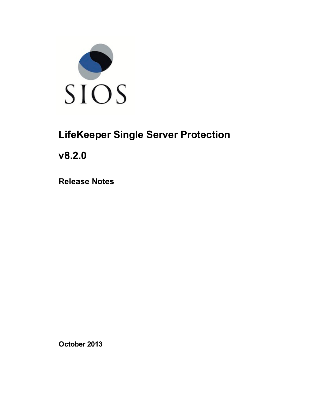

# **LifeKeeper Single Server Protection**

**v8.2.0**

**Release Notes**

**October 2013**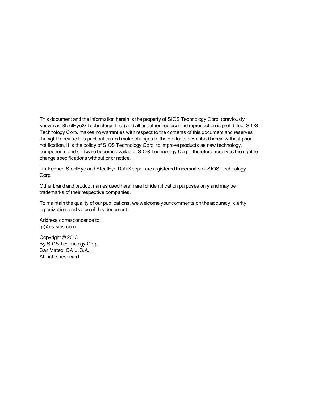This document and the information herein is the property of SIOS Technology Corp. (previously known as SteelEye® Technology, Inc.) and all unauthorized use and reproduction is prohibited. SIOS Technology Corp. makes no warranties with respect to the contents of this document and reserves the right to revise this publication and make changes to the products described herein without prior notification. It is the policy of SIOS Technology Corp. to improve products as new technology, components and software become available. SIOS Technology Corp., therefore, reserves the right to change specifications without prior notice.

LifeKeeper, SteelEye and SteelEye DataKeeper are registered trademarks of SIOS Technology Corp.

Other brand and product names used herein are for identification purposes only and may be trademarks of their respective companies.

To maintain the quality of our publications, we welcome your comments on the accuracy, clarity, organization, and value of this document.

Address correspondence to: ip@us.sios.com

Copyright © 2013 By SIOS Technology Corp. San Mateo, CA U.S.A. All rights reserved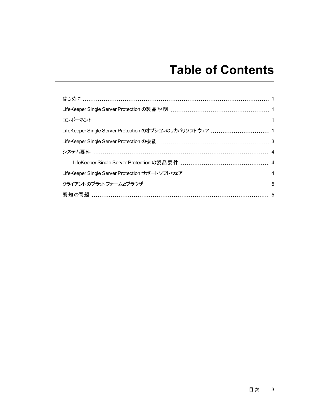# **Table of Contents**

| 既知の問題 ……………………………………………………………………………………… 5 |  |
|-------------------------------------------|--|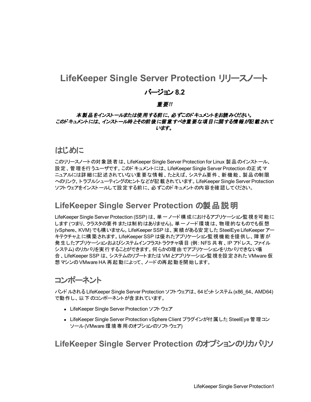#### **LifeKeeper Single Server Protection** リリースノート

#### バージョン **8.2**

#### 重要*!!*

#### 本製品をインストールまたは使用する前に、必ずこのドキュメントをお読みください。 このドキュメントには、インストール時とその前後に留意すべき重要な項目に関する情報が記載されて います。

#### <span id="page-3-0"></span>はじめに

このリリースノートの対象読者は、LifeKeeper Single Server Protection for Linux 製品のインストール、 設定、管理を行うユーザです。このドキュメントには、LifeKeeper Single Server Protection の正式マ ニュアルには詳細に記述されていない重要な情報、たとえば、システム要件、新機能、製品の制限 へのリンク、トラブルシューティングのヒントなどが記載されています。LifeKeeper Single Server Protection ソフトウェアをインストールして設定する前に、必ずこのドキュメントの内容を確認してください。

#### <span id="page-3-1"></span>**LifeKeeper Single Server Protection** の製品説明

LifeKeeper Single Server Protection (SSP) は、単一ノード構成におけるアプリケーション監視を可能に します (つまり、クラスタの要件または制約はありません)。単一ノード環境は、物理的なものでも仮想 (vSphere、KVM) でも構いません。LifeKeeper SSP は、実績がある安定した SteelEye LifeKeeper アー キテクチャ上に構築されます。LifeKeeper SSP は優れたアプリケーション監視機能を提供し、障害が 発生したアプリケーションおよびシステムインフラストラクチャ項目 (例: NFS 共有、IP アドレス、ファイル システム) のリカバリを実行することができます。何らかの理由でアプリケーションをリカバリできない場 合、LifeKeeper SSP は、システムのリブートまたは VM とアプリケーション監視を設定された VMware 仮 想マシンのVMware HA 再起動によって、ノードの再起動を開始します。

### <span id="page-3-2"></span>コンポーネント

バンドルされる LifeKeeper Single Server Protection ソフトウェアは、64 ビットシステム(x86\_64、AMD64) で動作し、以下のコンポーネントが含まれています。

- LifeKeeper Single Server Protection ソフトウェア
- LifeKeeper Single Server Protection vSphere Client プラグインが付 属した SteelEye 管理コン ソール(VMware 環境専用のオプションのソフトウェア)

#### <span id="page-3-3"></span>**LifeKeeper Single Server Protection** のオプションのリカバリソ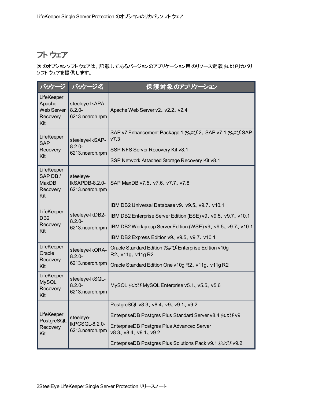### フトウェア

次のオプションソフトウェアは、記載してあるバージョンのアプリケーション用のリソース定義およびリカバリ ソフトウェアを提供します。

| バッケージ                                                        | パッケージ名                                          | 保護対象のアプリケーション                                                            |  |
|--------------------------------------------------------------|-------------------------------------------------|--------------------------------------------------------------------------|--|
| LifeKeeper<br>Apache<br><b>Web Server</b><br>Recovery<br>Kit | steeleye-lkAPA-<br>$8.2.0 -$<br>6213.noarch.rpm | Apache Web Server v2, v2.2, v2.4                                         |  |
| LifeKeeper<br><b>SAP</b>                                     | steeleye-lkSAP-<br>$8.2.0 -$<br>6213.noarch.rpm | SAP v7 Enhancement Package 1 および 2、SAP v7.1 および SAP<br>V7.3              |  |
| Recovery<br>Kit                                              |                                                 | SSP NFS Server Recovery Kit v8.1                                         |  |
|                                                              |                                                 | SSP Network Attached Storage Recovery Kit v8.1                           |  |
| LifeKeeper<br>SAP DB/<br><b>MaxDB</b><br>Recovery<br>Kit     | steeleye-<br>IkSAPDB-8.2.0-<br>6213.noarch.rpm  | SAP MaxDB v7.5, v7.6, v7.7, v7.8                                         |  |
|                                                              | steeleye-lkDB2-<br>$8.2.0 -$<br>6213.noarch.rpm | IBM DB2 Universal Database v9, v9.5, v9.7, v10.1                         |  |
| LifeKeeper<br>DB <sub>2</sub>                                |                                                 | IBM DB2 Enterprise Server Edition (ESE) v9, v9.5, v9.7, v10.1            |  |
| Recovery<br>Kit                                              |                                                 | IBM DB2 Workgroup Server Edition (WSE) v9, v9.5, v9.7, v10.1             |  |
|                                                              |                                                 | IBM DB2 Express Edition v9, v9.5, v9.7, v10.1                            |  |
| LifeKeeper<br>Oracle                                         | steeleye-lkORA-<br>$8.2.0 -$<br>6213.noarch.rpm | Oracle Standard Edition および Enterprise Edition v10g<br>R2, v11g, v11g R2 |  |
| Recovery<br>Kit                                              |                                                 | Oracle Standard Edition One v10g R2, v11g, v11g R2                       |  |
| LifeKeeper<br><b>MySQL</b><br>Recovery<br>Kit                | steeleye-lkSQL-<br>$8.2.0 -$<br>6213.noarch.rpm | MySQL および MySQL Enterprise v5.1、 v5.5、 v5.6                              |  |
|                                                              | steeleye-<br>IkPGSQL-8.2.0-<br>6213.noarch.rpm  | PostgreSQL v8.3, v8.4, v9, v9.1, v9.2                                    |  |
| LifeKeeper<br>PostgreSQL<br>Recovery<br>Kit                  |                                                 | EnterpriseDB Postgres Plus Standard Server v8.4 および v9                   |  |
|                                                              |                                                 | EnterpriseDB Postgres Plus Advanced Server<br>v8.3, v8.4, v9.1, v9.2     |  |
|                                                              |                                                 | EnterpriseDB Postgres Plus Solutions Pack v9.1 および v9.2                  |  |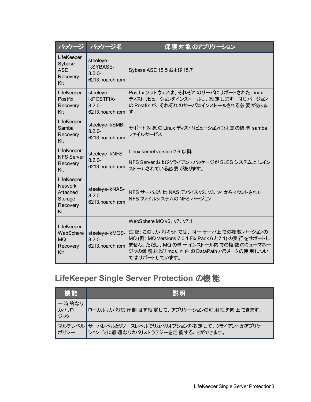| パッケージ                                                                  | パッケージ名                                                         | 保護対象のアプリケーション                                                                                                                                                                                                            |  |
|------------------------------------------------------------------------|----------------------------------------------------------------|--------------------------------------------------------------------------------------------------------------------------------------------------------------------------------------------------------------------------|--|
| LifeKeeper<br>Sybase<br><b>ASE</b><br>Recovery<br>Kit                  | steeleye-<br><b>IkSYBASE-</b><br>$8.2.0 -$<br>6213.noarch.rpm  | Sybase ASE 15.5 および 15.7                                                                                                                                                                                                 |  |
| LifeKeeper<br><b>Postfix</b><br>Recovery<br>Kit                        | steeleye-<br><b>IkPOSTFIX-</b><br>$8.2.0 -$<br>6213.noarch.rpm | Postfix ソフトウェアは、それぞれのサーバにサポートされた Linux<br>ディストリビューションをインストールし、設定します。同じバージョン<br>の Postfix が、それぞれのサーバにインストールされる必要がありま<br>す。                                                                                                |  |
| LifeKeeper<br>Samba<br>Recovery<br>Kit                                 | steeleye-lkSMB-<br>$8.2.0 -$<br>6213.noarch.rpm                | サポート対象の Linux ディストリビューションに付属の標準 samba<br>ファイルサービス                                                                                                                                                                        |  |
| LifeKeeper<br><b>NFS Server</b><br>Recovery<br>Kit                     | steeleye-lkNFS-<br>$8.2.0 -$<br>6213.noarch.rpm                | Linux kernel version 2.6 以降<br>NFS Server およびクライアント パッケージが SLES システム上 にイン<br>ストールされている必要があります。                                                                                                                           |  |
| LifeKeeper<br><b>Network</b><br>Attached<br>Storage<br>Recovery<br>Kit | steeleye-lkNAS-<br>$8.2.0 -$<br>6213.noarch.rpm                | NFS サーバまたは NAS デバイス v2、v3、v4 からマウントされた<br>NFS ファイルシステムの NFS バージョン                                                                                                                                                        |  |
| LifeKeeper<br>WebSphere<br><b>MQ</b><br>Recovery<br>Kit                | steeleye-lkMQS-<br>$8.2.0 -$<br>6213.noarch.rpm                | WebSphere MQ v6, v7, v7.1<br>注記:このリカバリキットでは、同一サーバ上での複数バージョンの<br>MQ (例: MQ Versions 7.0.1 Fix Pack 6 と7.1) の実行をサポートし<br>ません。ただし、MQ の単 ー インストール内 での複数 のキューマネー<br>ジャの保護 および mgs.ini 内の DataPath パラメータの使用につい<br>てはサポートしています。 |  |

## <span id="page-5-0"></span>**LifeKeeper Single Server Protection** の機能

| 機能                    | 説明                                                                                                        |
|-----------------------|-----------------------------------------------------------------------------------------------------------|
| 一時的なリ<br>▌カバリロ<br>ジック | ローカルリカバリ試行制限を設定して、アプリケーションの可用性を向上できます。                                                                    |
| ┃ポリシー                 | マルチレベル   サーバレベルとリソースレベルでリカバリオプションを指 定して、クライアントがアプリケー<br>  ポリシー        ションごとに最 適なリカバリストラテジーを定 義 することができます。 |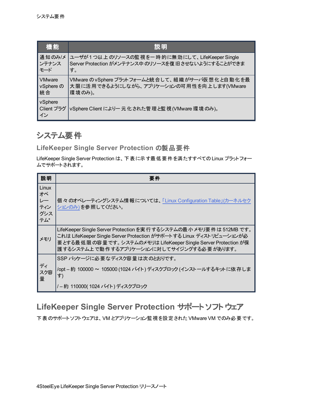| 機能                          | 説明                                                 |
|-----------------------------|----------------------------------------------------|
| 通知のみ/メ                      | ユーザが1つ以上のリソースの監視を一時的に無効にして、LifeKeeper Single       |
| ンテナンス                       | Server Protection がメンテナンス中 のリソースを復旧させないようにすることができま |
| モード                         | す。                                                 |
| <b>VMware</b>               | VMware の vSphere プラットフォームと統合して、組織がサーバ仮想化と自動化を最     |
| vSphere の                   | 大限に活用できるようにしながら、アプリケーションの可用性を向上します(VMware          |
| 統合                          | 環境のみ)。                                             |
| vSphere<br>Client プラグ<br>イン | vSphere Client により一元化された管理と監視(VMware 環境のみ)。        |

### <span id="page-6-1"></span><span id="page-6-0"></span>システム要件

**LifeKeeper Single Server Protection** の製品要件

LifeKeeper Single Server Protection は、下表に示す最低要件を満たすすべてのLinux プラットフォー ムでサポートされます。

| 説明                                     | 要件                                                                                                                                                                                                                                                       |
|----------------------------------------|----------------------------------------------------------------------------------------------------------------------------------------------------------------------------------------------------------------------------------------------------------|
| Linux<br>才ぺ<br>レー<br>ティン<br>グシス<br>テム* | 個々のオペレーティングシステム情報については、「Linux Configuration Table」(カーネルセク<br>ションのみ)を参照してください。                                                                                                                                                                            |
| メモリ                                    | LifeKeeper Single Server Protection を実行するシステムの最小メモリ要件は 512MB です。<br>これは LifeKeeper Single Server Protection がサポートする Linux ディストリビューションが必<br>要とする最低限の容量です。システムのメモリは LifeKeeper Single Server Protection が保<br>護 するシステム上 で動作 するアプリケーションに対してサイジングする必要 があります。 |
| ディ<br>スク容<br>量                         | SSP パッケージに必 要なディスク容 暈 は次 のとおりです。<br>/opt – 約 100000 ~ 105000 (1024 バイト) ディスクブロック (インストールするキットに依存しま<br>す)                                                                                                                                                 |
|                                        | /–約 110000(1024 バイト) ディスクブロック                                                                                                                                                                                                                            |

### <span id="page-6-2"></span>**LifeKeeper Single Server Protection** サポート ソフトウェア

下表のサポートソフトウェアは、VM とアプリケーション監視を設定された VMware VM でのみ必要です。